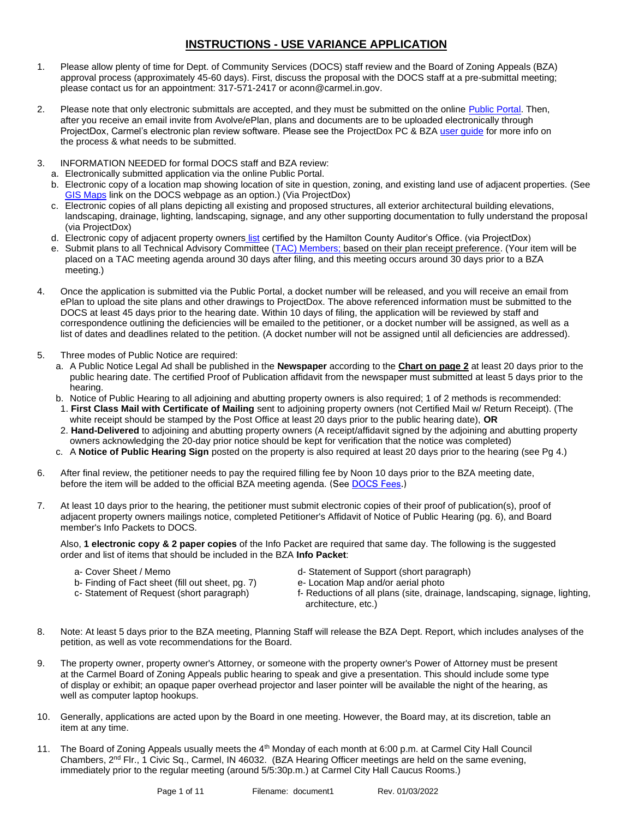# **INSTRUCTIONS - USE VARIANCE APPLICATION**

- 1. Please allow plenty of time for Dept. of Community Services (DOCS) staff review and the Board of Zoning Appeals (BZA) approval process (approximately 45-60 days). First, discuss the proposal with the DOCS staff at a pre-submittal meeting; please contact us for an appointment: 317-571-2417 or aconn@carmel.in.gov.
- 2. Please note that only electronic submittals are accepted, and they must be submitted on the online [Public Portal.](https://cw.carmel.in.gov/PublicAccess/template/Login.aspx) Then, after you receive an email invite from Avolve/ePlan, plans and documents are to be uploaded electronically through ProjectDox, Carmel's electronic plan review software. Please see the ProjectDox PC & BZ[A user guide](https://www.carmel.in.gov/government/departments-services/community-services/projectdox-eplans) for more info on the process & what needs to be submitted.
- 3. INFORMATION NEEDED for formal DOCS staff and BZA review:
	- a. Electronically submitted application via the online Public Portal.
	- b. Electronic copy of a location map showing location of site in question, zoning, and existing land use of adjacent properties. (See [GIS Maps](https://carmelgis.carmel.in.gov/maps/apps/webappviewer/index.html?id=3005d15bb8ee47c48538605fa421a359&extent=-9600433.8691%2C4865462.0861%2C-9599860.5914%2C4865778.5832%2C102100) link on the DOCS webpage as an option.) (Via ProjectDox)
	- c. Electronic copies of all plans depicting all existing and proposed structures, all exterior architectural building elevations, landscaping, drainage, lighting, landscaping, signage, and any other supporting documentation to fully understand the proposal (via ProjectDox)
	- d. Electronic copy of adjacent property owners [list](https://www.hamiltoncounty.in.gov/369/Adjoiner-Property-Notifications) certified by the Hamilton County Auditor's Office. (via ProjectDox)
	- e. Submit plans to all Technical Advisory Committee [\(TAC\) Members;](http://www.carmel.in.gov/index.aspx?page=567) based on their plan receipt preference. (Your item will be placed on a TAC meeting agenda around 30 days after filing, and this meeting occurs around 30 days prior to a BZA meeting.)
- 4. Once the application is submitted via the Public Portal, a docket number will be released, and you will receive an email from ePlan to upload the site plans and other drawings to ProjectDox. The above referenced information must be submitted to the DOCS at least 45 days prior to the hearing date. Within 10 days of filing, the application will be reviewed by staff and correspondence outlining the deficiencies will be emailed to the petitioner, or a docket number will be assigned, as well as a list of dates and deadlines related to the petition. (A docket number will not be assigned until all deficiencies are addressed).
- 5. Three modes of Public Notice are required:
	- a. A Public Notice Legal Ad shall be published in the **Newspaper** according to the **Chart on page 2** at least 20 days prior to the public hearing date. The certified Proof of Publication affidavit from the newspaper must submitted at least 5 days prior to the hearing.
	- b. Notice of Public Hearing to all adjoining and abutting property owners is also required; 1 of 2 methods is recommended:
	- 1. **First Class Mail with Certificate of Mailing** sent to adjoining property owners (not Certified Mail w/ Return Receipt). (The white receipt should be stamped by the Post Office at least 20 days prior to the public hearing date), **OR**
	- 2. **Hand-Delivered** to adjoining and abutting property owners (A receipt/affidavit signed by the adjoining and abutting property owners acknowledging the 20-day prior notice should be kept for verification that the notice was completed)
	- c. A **Notice of Public Hearing Sign** posted on the property is also required at least 20 days prior to the hearing (see Pg 4.)
- 6. After final review, the petitioner needs to pay the required filling fee by Noon 10 days prior to the BZA meeting date, before the item will be added to the official BZA meeting agenda. (See [DOCS Fees.](https://www.carmel.in.gov/department-services/community-services-planning-and-zoning-/applications-fees-and-permits))
- 7. At least 10 days prior to the hearing, the petitioner must submit electronic copies of their proof of publication(s), proof of adjacent property owners mailings notice, completed Petitioner's Affidavit of Notice of Public Hearing (pg. 6), and Board member's Info Packets to DOCS.

Also, **1 electronic copy & 2 paper copies** of the Info Packet are required that same day. The following is the suggested order and list of items that should be included in the BZA **Info Packet**:

- 
- b- Finding of Fact sheet (fill out sheet, pg. 7) e- Location Map and/or aerial photo c- Statement of Request (short paragraph) f- Reductions of all plans (site, draina
	-
- a- Cover Sheet / Memo d- Statement of Support (short paragraph)
	-
	- f- Reductions of all plans (site, drainage, landscaping, signage, lighting, architecture, etc.)
- 8. Note: At least 5 days prior to the BZA meeting, Planning Staff will release the BZA Dept. Report, which includes analyses of the petition, as well as vote recommendations for the Board.
- 9. The property owner, property owner's Attorney, or someone with the property owner's Power of Attorney must be present at the Carmel Board of Zoning Appeals public hearing to speak and give a presentation. This should include some type of display or exhibit; an opaque paper overhead projector and laser pointer will be available the night of the hearing, as well as computer laptop hookups.
- 10. Generally, applications are acted upon by the Board in one meeting. However, the Board may, at its discretion, table an item at any time.
- 11. The Board of Zoning Appeals usually meets the 4<sup>th</sup> Monday of each month at 6:00 p.m. at Carmel City Hall Council Chambers, 2<sup>nd</sup> Flr., 1 Civic Sq., Carmel, IN 46032. (BZA Hearing Officer meetings are held on the same evening, immediately prior to the regular meeting (around 5/5:30p.m.) at Carmel City Hall Caucus Rooms.)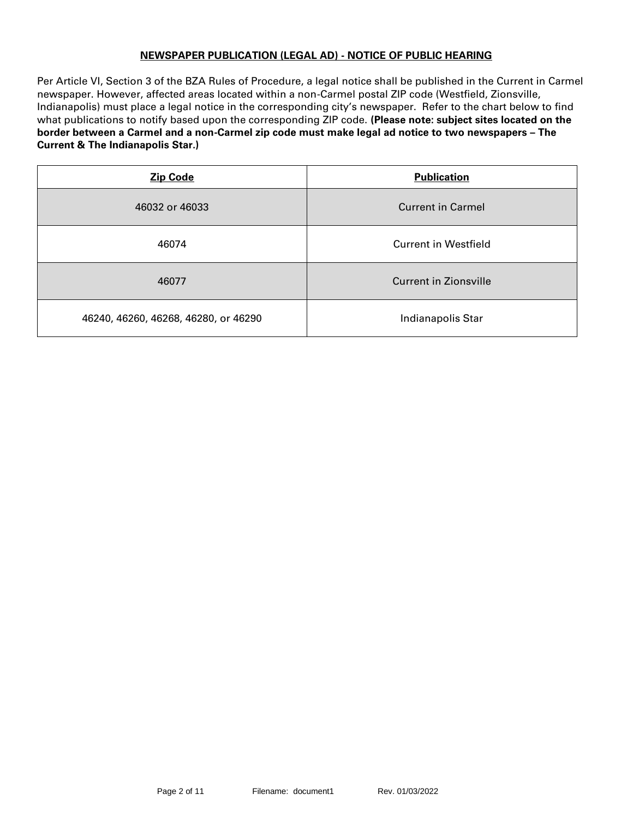### **NEWSPAPER PUBLICATION (LEGAL AD) - NOTICE OF PUBLIC HEARING**

Per Article VI, Section 3 of the BZA Rules of Procedure, a legal notice shall be published in the Current in Carmel newspaper. However, affected areas located within a non-Carmel postal ZIP code (Westfield, Zionsville, Indianapolis) must place a legal notice in the corresponding city's newspaper. Refer to the chart below to find what publications to notify based upon the corresponding ZIP code. **(Please note: subject sites located on the border between a Carmel and a non-Carmel zip code must make legal ad notice to two newspapers – The Current & The Indianapolis Star.)**

| <b>Zip Code</b>                      | <b>Publication</b>           |  |
|--------------------------------------|------------------------------|--|
| 46032 or 46033                       | <b>Current in Carmel</b>     |  |
| 46074                                | <b>Current in Westfield</b>  |  |
| 46077                                | <b>Current in Zionsville</b> |  |
| 46240, 46260, 46268, 46280, or 46290 | Indianapolis Star            |  |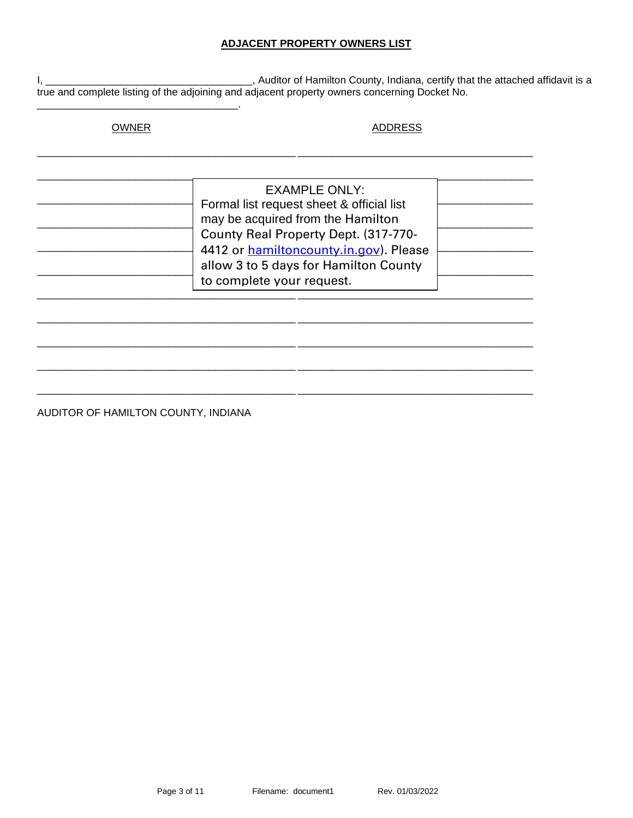### **ADJACENT PROPERTY OWNERS LIST**

Auditor of Hamilton County, Indiana, certify that the attached affidavit is a  $I_{\rm t}$ true and complete listing of the adjoining and adjacent property owners concerning Docket No.

# **OWNER**

### **ADDRESS**

| <b>EXAMPLE ONLY:</b><br>Formal list request sheet & official list<br>may be acquired from the Hamilton |  |
|--------------------------------------------------------------------------------------------------------|--|
| County Real Property Dept. (317-770-<br>4412 or <b>hamiltoncounty.in.gov</b> ). Please                 |  |
| allow 3 to 5 days for Hamilton County                                                                  |  |
| to complete your request.                                                                              |  |

÷.

AUDITOR OF HAMILTON COUNTY, INDIANA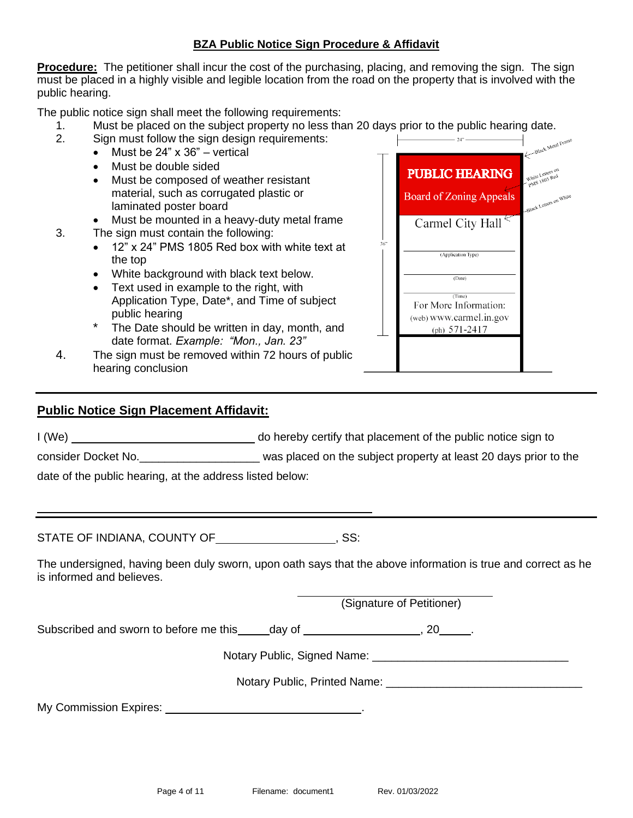## **BZA Public Notice Sign Procedure & Affidavit**

**Procedure:** The petitioner shall incur the cost of the purchasing, placing, and removing the sign. The sign must be placed in a highly visible and legible location from the road on the property that is involved with the public hearing.

The public notice sign shall meet the following requirements:

- 1. Must be placed on the subject property no less than 20 days prior to the public hearing date.
- 2. Sign must follow the sign design requirements:
	- Must be 24" x 36" vertical
	- Must be double sided
	- Must be composed of weather resistant material, such as corrugated plastic or laminated poster board
	- Must be mounted in a heavy-duty metal frame
- 3. The sign must contain the following:
	- 12" x 24" PMS 1805 Red box with white text at the top
	- White background with black text below.
	- Text used in example to the right, with Application Type, Date\*, and Time of subject public hearing
	- The Date should be written in day, month, and date format. *Example: "Mon., Jan. 23"*
- 4. The sign must be removed within 72 hours of public hearing conclusion

# **Public Notice Sign Placement Affidavit:**

I (We) do hereby certify that placement of the public notice sign to

consider Docket No. **Example 20** was placed on the subject property at least 20 days prior to the

date of the public hearing, at the address listed below:

STATE OF INDIANA, COUNTY OF  $\qquad \qquad \qquad . . . . . . . . . .$ 

The undersigned, having been duly sworn, upon oath says that the above information is true and correct as he is informed and believes.

(Signature of Petitioner)

**PUBLIC HEARING** 

**Board of Zoning Appeals** 

Carmel City Hall

(Application Type)

 $(Date)$  $(Time)$ For More Information: (web) www.carmel.in.gov (ph)  $571-2417$ 

 $36"$ 

Black Letters on

Subscribed and sworn to before me this day of  $\sim$ , 20 .

Notary Public, Signed Name:  $\blacksquare$ 

Notary Public, Printed Name: \_\_\_\_\_\_\_\_\_\_\_\_\_\_\_\_\_\_\_\_\_\_\_\_\_\_\_\_\_\_\_

My Commission Expires: .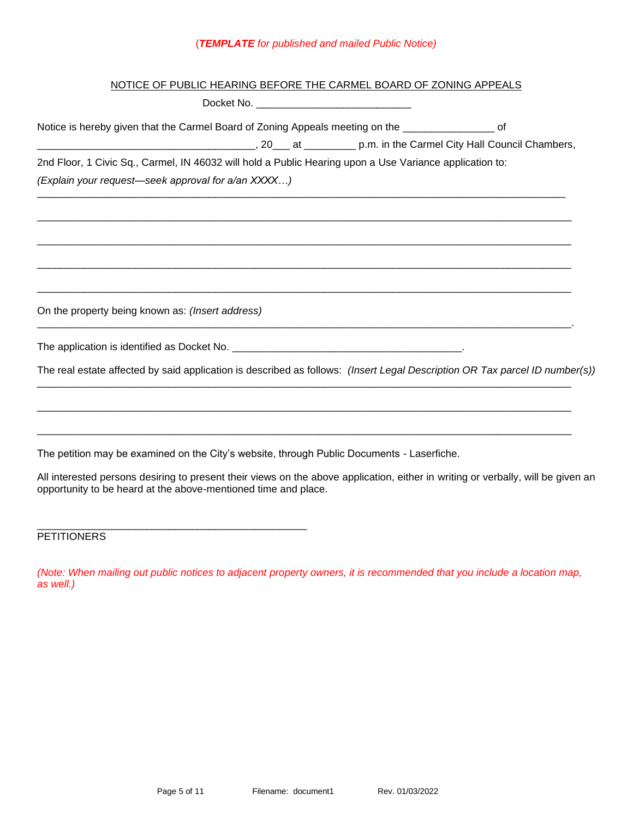# (*TEMPLATE for published and mailed Public Notice)*

| NOTICE OF PUBLIC HEARING BEFORE THE CARMEL BOARD OF ZONING APPEALS                                                                                                                                 |
|----------------------------------------------------------------------------------------------------------------------------------------------------------------------------------------------------|
|                                                                                                                                                                                                    |
| Notice is hereby given that the Carmel Board of Zoning Appeals meeting on the _____________________ of                                                                                             |
| example and p.m. in the Carmel City Hall Council Chambers,                                                                                                                                         |
| 2nd Floor, 1 Civic Sq., Carmel, IN 46032 will hold a Public Hearing upon a Use Variance application to:                                                                                            |
| (Explain your request-seek approval for a/an XXXX)                                                                                                                                                 |
|                                                                                                                                                                                                    |
| On the property being known as: (Insert address)                                                                                                                                                   |
|                                                                                                                                                                                                    |
| The real estate affected by said application is described as follows: (Insert Legal Description OR Tax parcel ID number(s))                                                                        |
|                                                                                                                                                                                                    |
| The petition may be examined on the City's website, through Public Documents - Laserfiche.                                                                                                         |
| All interested persons desiring to present their views on the above application, either in writing or verbally, will be given an<br>opportunity to be heard at the above-mentioned time and place. |
|                                                                                                                                                                                                    |

**PETITIONERS** 

*(Note: When mailing out public notices to adjacent property owners, it is recommended that you include a location map, as well.)*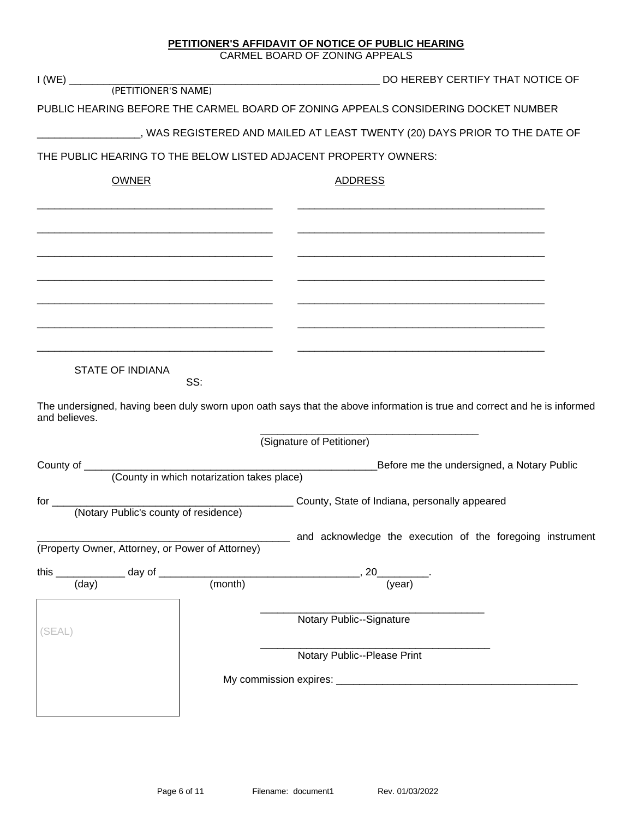|                                                  |     | CARMEL BOARD OF ZONING APPEALS                                                                                                                        |
|--------------------------------------------------|-----|-------------------------------------------------------------------------------------------------------------------------------------------------------|
|                                                  |     | DO HEREBY CERTIFY THAT NOTICE OF                                                                                                                      |
|                                                  |     |                                                                                                                                                       |
|                                                  |     | PUBLIC HEARING BEFORE THE CARMEL BOARD OF ZONING APPEALS CONSIDERING DOCKET NUMBER                                                                    |
|                                                  |     | _________________, WAS REGISTERED AND MAILED AT LEAST TWENTY (20) DAYS PRIOR TO THE DATE OF                                                           |
|                                                  |     | THE PUBLIC HEARING TO THE BELOW LISTED ADJACENT PROPERTY OWNERS:                                                                                      |
| <b>OWNER</b>                                     |     | <b>ADDRESS</b>                                                                                                                                        |
|                                                  |     |                                                                                                                                                       |
|                                                  |     |                                                                                                                                                       |
| <b>STATE OF INDIANA</b>                          |     |                                                                                                                                                       |
| and believes.                                    | SS: | The undersigned, having been duly sworn upon oath says that the above information is true and correct and he is informed<br>(Signature of Petitioner) |
|                                                  |     |                                                                                                                                                       |
|                                                  |     | Before me the undersigned, a Notary Public                                                                                                            |
| (Notary Public's county of residence)            |     | County, State of Indiana, personally appeared                                                                                                         |
| (Property Owner, Attorney, or Power of Attorney) |     | and acknowledge the execution of the foregoing instrument                                                                                             |
|                                                  |     | this $\frac{1}{(day)}$ day of $\frac{1}{(month)}$ , 20 (year)                                                                                         |
|                                                  |     |                                                                                                                                                       |
| (SEAL)                                           |     | Notary Public--Signature                                                                                                                              |
|                                                  |     | Notary Public--Please Print                                                                                                                           |
|                                                  |     |                                                                                                                                                       |
|                                                  |     |                                                                                                                                                       |

**PETITIONER'S AFFIDAVIT OF NOTICE OF PUBLIC HEARING**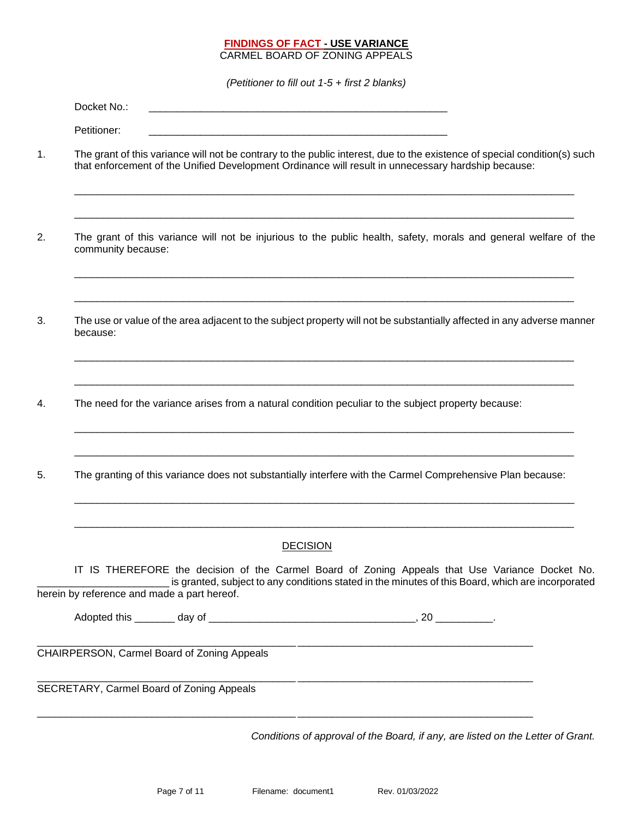#### **FINDINGS OF FACT - USE VARIANCE** CARMEL BOARD OF ZONING APPEALS

*(Petitioner to fill out 1-5 + first 2 blanks)*

|    | Docket No.:                                 |                                                                                                                                                                                                                                 |                 |                                                                                                   |  |  |
|----|---------------------------------------------|---------------------------------------------------------------------------------------------------------------------------------------------------------------------------------------------------------------------------------|-----------------|---------------------------------------------------------------------------------------------------|--|--|
|    | Petitioner:                                 |                                                                                                                                                                                                                                 |                 |                                                                                                   |  |  |
| 1. |                                             | The grant of this variance will not be contrary to the public interest, due to the existence of special condition(s) such<br>that enforcement of the Unified Development Ordinance will result in unnecessary hardship because: |                 |                                                                                                   |  |  |
| 2. | community because:                          | The grant of this variance will not be injurious to the public health, safety, morals and general welfare of the                                                                                                                |                 |                                                                                                   |  |  |
| 3. | because:                                    | The use or value of the area adjacent to the subject property will not be substantially affected in any adverse manner                                                                                                          |                 |                                                                                                   |  |  |
| 4. |                                             | The need for the variance arises from a natural condition peculiar to the subject property because:                                                                                                                             |                 |                                                                                                   |  |  |
| 5. |                                             | The granting of this variance does not substantially interfere with the Carmel Comprehensive Plan because:                                                                                                                      |                 |                                                                                                   |  |  |
|    |                                             |                                                                                                                                                                                                                                 | <b>DECISION</b> |                                                                                                   |  |  |
|    | herein by reference and made a part hereof. | IT IS THEREFORE the decision of the Carmel Board of Zoning Appeals that Use Variance Docket No.                                                                                                                                 |                 | is granted, subject to any conditions stated in the minutes of this Board, which are incorporated |  |  |
|    |                                             |                                                                                                                                                                                                                                 |                 |                                                                                                   |  |  |
|    |                                             | CHAIRPERSON, Carmel Board of Zoning Appeals                                                                                                                                                                                     |                 |                                                                                                   |  |  |
|    |                                             | SECRETARY, Carmel Board of Zoning Appeals                                                                                                                                                                                       |                 |                                                                                                   |  |  |
|    |                                             |                                                                                                                                                                                                                                 |                 | Conditions of approval of the Board, if any, are listed on the Letter of Grant.                   |  |  |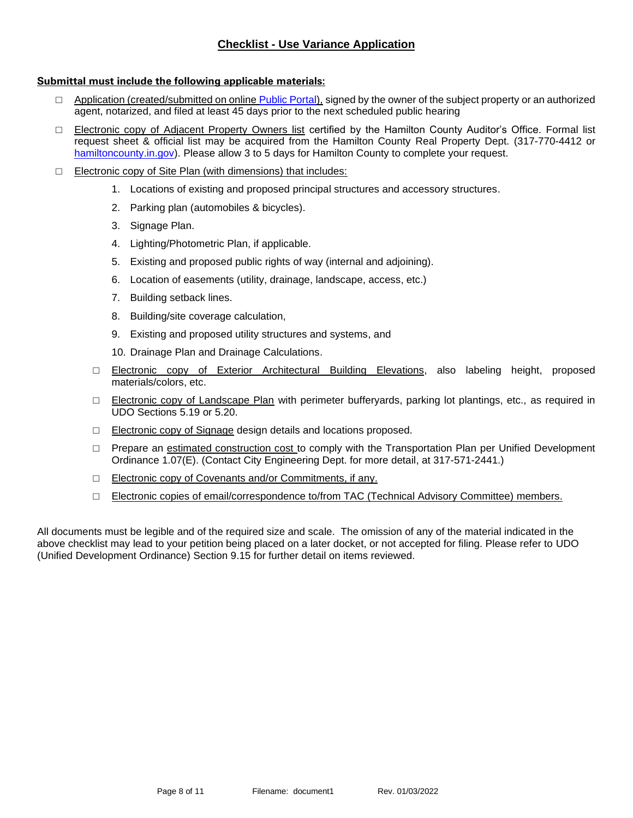## **Checklist - Use Variance Application**

#### **Submittal must include the following applicable materials:**

- □ Application (created/submitted on onlin[e Public Portal\)](https://cw.carmel.in.gov/PublicAccess/template/Login.aspx), signed by the owner of the subject property or an authorized agent, notarized, and filed at least 45 days prior to the next scheduled public hearing
- □ Electronic copy of Adjacent Property Owners list certified by the Hamilton County Auditor's Office. Formal list request sheet & official list may be acquired from the Hamilton County Real Property Dept. (317-770-4412 or [hamiltoncounty.in.gov\)](https://www.hamiltoncounty.in.gov/369/Adjoiner-Property-Notifications). Please allow 3 to 5 days for Hamilton County to complete your request.
- □ Electronic copy of Site Plan (with dimensions) that includes:
	- 1. Locations of existing and proposed principal structures and accessory structures.
	- 2. Parking plan (automobiles & bicycles).
	- 3. Signage Plan.
	- 4. Lighting/Photometric Plan, if applicable.
	- 5. Existing and proposed public rights of way (internal and adjoining).
	- 6. Location of easements (utility, drainage, landscape, access, etc.)
	- 7. Building setback lines.
	- 8. Building/site coverage calculation,
	- 9. Existing and proposed utility structures and systems, and
	- 10. Drainage Plan and Drainage Calculations.
	- □ Electronic copy of Exterior Architectural Building Elevations, also labeling height, proposed materials/colors, etc.
	- □ Electronic copy of Landscape Plan with perimeter bufferyards, parking lot plantings, etc., as required in UDO Sections 5.19 or 5.20.
	- □ Electronic copy of Signage design details and locations proposed.
	- □ Prepare an estimated construction cost to comply with the Transportation Plan per Unified Development Ordinance 1.07(E). (Contact City Engineering Dept. for more detail, at 317-571-2441.)
	- □ Electronic copy of Covenants and/or Commitments, if any.
	- □ Electronic copies of email/correspondence to/from TAC (Technical Advisory Committee) members.

All documents must be legible and of the required size and scale. The omission of any of the material indicated in the above checklist may lead to your petition being placed on a later docket, or not accepted for filing. Please refer to UDO (Unified Development Ordinance) Section 9.15 for further detail on items reviewed.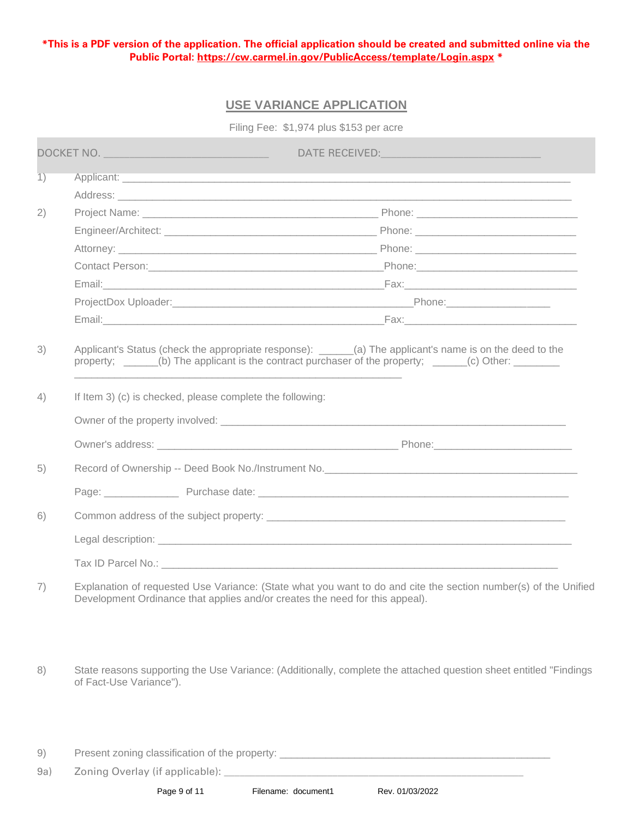**\*This is a PDF version of the application. The official application should be created and submitted online via the Public Portal:<https://cw.carmel.in.gov/PublicAccess/template/Login.aspx> \***

# **USE VARIANCE APPLICATION**

Filing Fee: \$1,974 plus \$153 per acre

|                 | DOCKET NO.                                                                                                                                                                                                                          | DATE RECEIVED: NAME OF RECEIVED. |  |  |
|-----------------|-------------------------------------------------------------------------------------------------------------------------------------------------------------------------------------------------------------------------------------|----------------------------------|--|--|
| $\overline{1)}$ | Applicant: <u>experiments</u> and the contract of the contract of the contract of the contract of the contract of the contract of the contract of the contract of the contract of the contract of the contract of the contract of t |                                  |  |  |
|                 |                                                                                                                                                                                                                                     |                                  |  |  |
| 2)              |                                                                                                                                                                                                                                     |                                  |  |  |
|                 |                                                                                                                                                                                                                                     |                                  |  |  |
|                 |                                                                                                                                                                                                                                     |                                  |  |  |
|                 | Contact Person: Contact Person: Contact Person: Contact Person: Contact Person: Contact Person: Contact Person:                                                                                                                     |                                  |  |  |
|                 |                                                                                                                                                                                                                                     |                                  |  |  |
|                 |                                                                                                                                                                                                                                     |                                  |  |  |
|                 |                                                                                                                                                                                                                                     |                                  |  |  |
| 3)              | Applicant's Status (check the appropriate response): ______(a) The applicant's name is on the deed to the<br>property; _____(b) The applicant is the contract purchaser of the property; _____(c) Other: _______                    |                                  |  |  |
| 4)              | If Item 3) (c) is checked, please complete the following:                                                                                                                                                                           |                                  |  |  |
|                 |                                                                                                                                                                                                                                     |                                  |  |  |
|                 | Owner's address: example and the contract of the Phone: Phone: Phone: Phone: Phone: Phone: Phone: Phone: Phone: Phone: Phone: Phone: Phone: Phone: Phone: Phone: Phone: Phone: Phone: Phone: Phone: Phone: Phone: Phone: Phone      |                                  |  |  |
| 5)              |                                                                                                                                                                                                                                     |                                  |  |  |
|                 |                                                                                                                                                                                                                                     |                                  |  |  |
| 6)              |                                                                                                                                                                                                                                     |                                  |  |  |
|                 |                                                                                                                                                                                                                                     |                                  |  |  |
|                 |                                                                                                                                                                                                                                     |                                  |  |  |
| 7)              | Explanation of requested Use Variance: (State what you want to do and cite the section number(s) of the Unified<br>Development Ordinance that applies and/or creates the need for this appeal).                                     |                                  |  |  |
| 8)              | State reasons supporting the Use Variance: (Additionally, complete the attached question sheet entitled "Findings"<br>of Fact-Use Variance").                                                                                       |                                  |  |  |
| 9)              |                                                                                                                                                                                                                                     |                                  |  |  |
| 9a)             |                                                                                                                                                                                                                                     |                                  |  |  |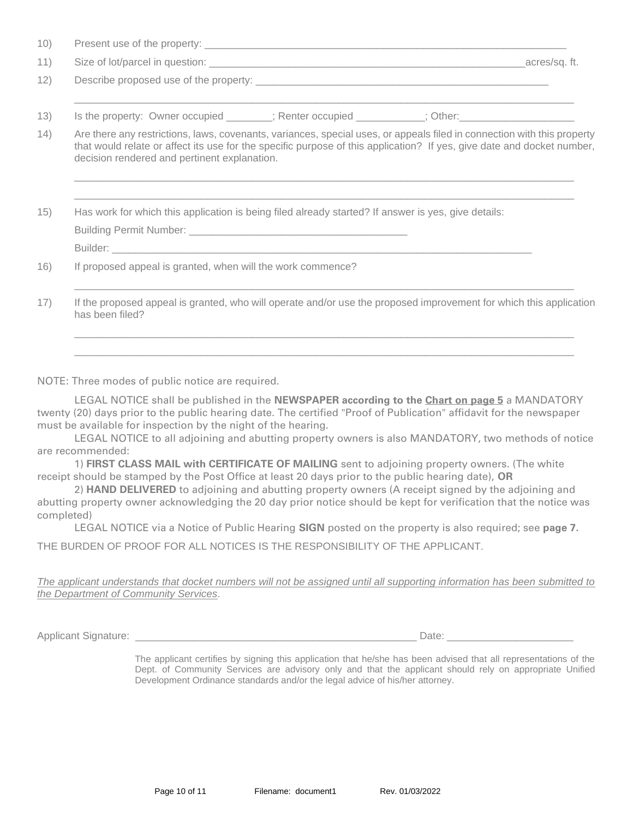| decision rendered and pertinent explanation. | Is the property: Owner occupied _______; Renter occupied _________; Other: (a) The content of the property: Owner occupied __________; Renter occupied _________; Other:<br>Are there any restrictions, laws, covenants, variances, special uses, or appeals filed in connection with this property<br>that would relate or affect its use for the specific purpose of this application? If yes, give date and docket number, | _acres/sq.ft.                                                                                                                                                                                                             |
|----------------------------------------------|-------------------------------------------------------------------------------------------------------------------------------------------------------------------------------------------------------------------------------------------------------------------------------------------------------------------------------------------------------------------------------------------------------------------------------|---------------------------------------------------------------------------------------------------------------------------------------------------------------------------------------------------------------------------|
|                                              |                                                                                                                                                                                                                                                                                                                                                                                                                               |                                                                                                                                                                                                                           |
|                                              |                                                                                                                                                                                                                                                                                                                                                                                                                               |                                                                                                                                                                                                                           |
|                                              |                                                                                                                                                                                                                                                                                                                                                                                                                               |                                                                                                                                                                                                                           |
|                                              |                                                                                                                                                                                                                                                                                                                                                                                                                               |                                                                                                                                                                                                                           |
|                                              |                                                                                                                                                                                                                                                                                                                                                                                                                               |                                                                                                                                                                                                                           |
|                                              |                                                                                                                                                                                                                                                                                                                                                                                                                               |                                                                                                                                                                                                                           |
|                                              |                                                                                                                                                                                                                                                                                                                                                                                                                               |                                                                                                                                                                                                                           |
|                                              |                                                                                                                                                                                                                                                                                                                                                                                                                               |                                                                                                                                                                                                                           |
|                                              | If proposed appeal is granted, when will the work commence?                                                                                                                                                                                                                                                                                                                                                                   | Has work for which this application is being filed already started? If answer is yes, give details:<br>If the proposed appeal is granted, who will operate and/or use the proposed improvement for which this application |

NOTE: Three modes of public notice are required.

LEGAL NOTICE shall be published in the **NEWSPAPER according to the Chart on page 5** a MANDATORY twenty (20) days prior to the public hearing date. The certified "Proof of Publication" affidavit for the newspaper must be available for inspection by the night of the hearing.

LEGAL NOTICE to all adjoining and abutting property owners is also MANDATORY, two methods of notice are recommended:

1) **FIRST CLASS MAIL with CERTIFICATE OF MAILING** sent to adjoining property owners. (The white receipt should be stamped by the Post Office at least 20 days prior to the public hearing date), **OR**

2) **HAND DELIVERED** to adjoining and abutting property owners (A receipt signed by the adjoining and abutting property owner acknowledging the 20 day prior notice should be kept for verification that the notice was completed)

LEGAL NOTICE via a Notice of Public Hearing **SIGN** posted on the property is also required; see **page 7.**

THE BURDEN OF PROOF FOR ALL NOTICES IS THE RESPONSIBILITY OF THE APPLICANT.

*The applicant understands that docket numbers will not be assigned until all supporting information has been submitted to the Department of Community Services*.

Applicant Signature: \_\_\_\_\_\_\_\_\_\_\_\_\_\_\_\_\_\_\_\_\_\_\_\_\_\_\_\_\_\_\_\_\_\_\_\_\_\_\_\_\_\_\_\_\_\_\_\_\_ Date: \_\_\_\_\_\_\_\_\_\_\_\_\_\_\_\_\_\_\_\_\_\_

The applicant certifies by signing this application that he/she has been advised that all representations of the Dept. of Community Services are advisory only and that the applicant should rely on appropriate Unified Development Ordinance standards and/or the legal advice of his/her attorney.